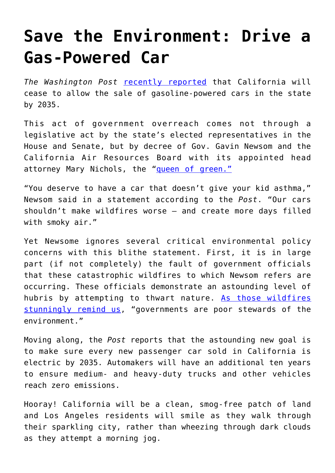## **[Save the Environment: Drive a](https://intellectualtakeout.org/2020/09/save-the-environment-drive-a-gas-powered-car/) [Gas-Powered Car](https://intellectualtakeout.org/2020/09/save-the-environment-drive-a-gas-powered-car/)**

*The Washington Post* [recently reported](https://www.washingtonpost.com/climate-environment/2020/09/23/california-electric-cars/) that California will cease to allow the sale of gasoline-powered cars in the state by 2035.

This act of government overreach comes not through a legislative act by the state's elected representatives in the House and Senate, but by decree of Gov. Gavin Newsom and the California Air Resources Board with its appointed head attorney Mary Nichols, the ["queen of green."](https://vimeo.com/59425139)

"You deserve to have a car that doesn't give your kid asthma," Newsom said in a statement according to the *Post*. "Our cars shouldn't make wildfires worse – and create more days filled with smoky air."

Yet Newsome ignores several critical environmental policy concerns with this blithe statement. First, it is in large part (if not completely) the fault of government officials that these catastrophic wildfires to which Newsom refers are occurring. These officials demonstrate an astounding level of hubris by attempting to thwart nature. [As those wildfires](https://www.intellectualtakeout.org/why-u-s-wildfires-hit-california-more-than-the-southeast/) [stunningly remind us,](https://www.intellectualtakeout.org/why-u-s-wildfires-hit-california-more-than-the-southeast/) "governments are poor stewards of the environment."

Moving along, the *Post* reports that the astounding new goal is to make sure every new passenger car sold in California is electric by 2035. Automakers will have an additional ten years to ensure medium- and heavy-duty trucks and other vehicles reach zero emissions.

Hooray! California will be a clean, smog-free patch of land and Los Angeles residents will smile as they walk through their sparkling city, rather than wheezing through dark clouds as they attempt a morning jog.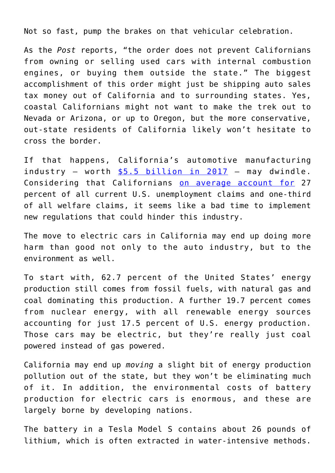Not so fast, pump the brakes on that vehicular celebration.

As the *Post* reports, "the order does not prevent Californians from owning or selling used cars with internal combustion engines, or buying them outside the state." The biggest accomplishment of this order might just be shipping auto sales tax money out of California and to surrounding states. Yes, coastal Californians might not want to make the trek out to Nevada or Arizona, or up to Oregon, but the more conservative, out-state residents of California likely won't hesitate to cross the border.

If that happens, California's automotive manufacturing industry – worth  $$5.5$  billion in  $2017$  – may dwindle. Considering that Californians [on average account for](https://californiaglobe.com/section-2/californias-unemployment-averages-27-percent-of-all-u-s-claims/) 27 percent of all current U.S. unemployment claims and one-third of all welfare claims, it seems like a bad time to implement new regulations that could hinder this industry.

The move to electric cars in California may end up doing more harm than good not only to the auto industry, but to the environment as well.

To start with, 62.7 percent of the United States' energy production still comes from fossil fuels, with natural gas and coal dominating this production. A further 19.7 percent comes from nuclear energy, with all renewable energy sources accounting for just 17.5 percent of U.S. energy production. Those cars may be electric, but they're really just coal powered instead of gas powered.

California may end up *moving* a slight bit of energy production pollution out of the state, but they won't be eliminating much of it. In addition, the environmental costs of battery production for electric cars is enormous, and these are largely borne by developing nations.

The battery in a Tesla Model S contains about 26 pounds of lithium, which is often extracted in water-intensive methods.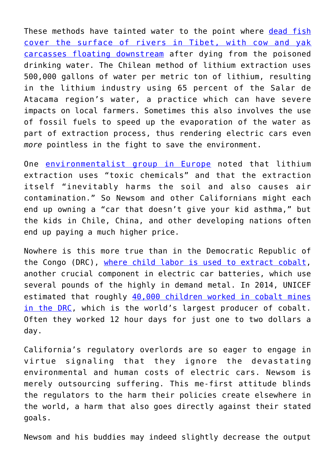These methods have tainted water to the point where [dead fish](https://www.wired.co.uk/article/lithium-batteries-environment-impact) [cover the surface of rivers in Tibet, with cow and yak](https://www.wired.co.uk/article/lithium-batteries-environment-impact) [carcasses floating downstream](https://www.wired.co.uk/article/lithium-batteries-environment-impact) after dying from the poisoned drinking water. The Chilean method of lithium extraction uses 500,000 gallons of water per metric ton of lithium, resulting in the lithium industry using 65 percent of the Salar de Atacama region's water, a practice which can have severe impacts on local farmers. Sometimes this also involves the use of fossil fuels to speed up the evaporation of the water as part of extraction process, thus rendering electric cars even *more* pointless in the fight to save the environment.

One [environmentalist group in Europe](https://www.foeeurope.org/sites/default/files/publications/13_factsheet-lithium-gb.pdf) noted that lithium extraction uses "toxic chemicals" and that the extraction itself "inevitably harms the soil and also causes air contamination." So Newsom and other Californians might each end up owning a "car that doesn't give your kid asthma," but the kids in Chile, China, and other developing nations often end up paying a much higher price.

Nowhere is this more true than in the Democratic Republic of the Congo (DRC), [where child labor is used to extract cobalt,](https://www.ft.com/content/c6909812-9ce4-11e9-9c06-a4640c9feebb) another crucial component in electric car batteries, which use several pounds of the highly in demand metal. In 2014, UNICEF estimated that roughly [40,000 children worked in cobalt mines](https://www.amnesty.org/en/latest/news/2016/01/child-labour-behind-smart-phone-and-electric-car-batteries/) [in the DRC,](https://www.amnesty.org/en/latest/news/2016/01/child-labour-behind-smart-phone-and-electric-car-batteries/) which is the world's largest producer of cobalt. Often they worked 12 hour days for just one to two dollars a day.

California's regulatory overlords are so eager to engage in virtue signaling that they ignore the devastating environmental and human costs of electric cars. Newsom is merely outsourcing suffering. This me-first attitude blinds the regulators to the harm their policies create elsewhere in the world, a harm that also goes directly against their stated goals.

Newsom and his buddies may indeed slightly decrease the output